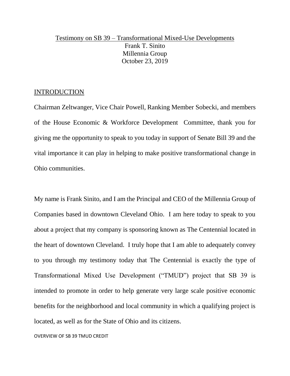### Testimony on SB 39 – Transformational Mixed-Use Developments Frank T. Sinito Millennia Group October 23, 2019

### INTRODUCTION

Chairman Zeltwanger, Vice Chair Powell, Ranking Member Sobecki, and members of the House Economic & Workforce Development Committee, thank you for giving me the opportunity to speak to you today in support of Senate Bill 39 and the vital importance it can play in helping to make positive transformational change in Ohio communities.

My name is Frank Sinito, and I am the Principal and CEO of the Millennia Group of Companies based in downtown Cleveland Ohio. I am here today to speak to you about a project that my company is sponsoring known as The Centennial located in the heart of downtown Cleveland. I truly hope that I am able to adequately convey to you through my testimony today that The Centennial is exactly the type of Transformational Mixed Use Development ("TMUD") project that SB 39 is intended to promote in order to help generate very large scale positive economic benefits for the neighborhood and local community in which a qualifying project is located, as well as for the State of Ohio and its citizens.

OVERVIEW OF SB 39 TMUD CREDIT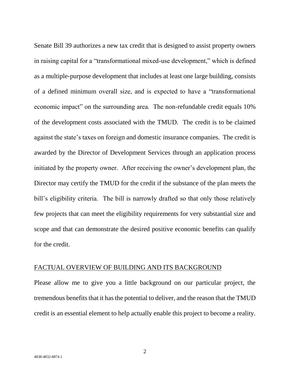Senate Bill 39 authorizes a new tax credit that is designed to assist property owners in raising capital for a "transformational mixed-use development," which is defined as a multiple-purpose development that includes at least one large building, consists of a defined minimum overall size, and is expected to have a "transformational economic impact" on the surrounding area. The non-refundable credit equals 10% of the development costs associated with the TMUD. The credit is to be claimed against the state's taxes on foreign and domestic insurance companies. The credit is awarded by the Director of Development Services through an application process initiated by the property owner. After receiving the owner's development plan, the Director may certify the TMUD for the credit if the substance of the plan meets the bill's eligibility criteria. The bill is narrowly drafted so that only those relatively few projects that can meet the eligibility requirements for very substantial size and scope and that can demonstrate the desired positive economic benefits can qualify for the credit.

#### FACTUAL OVERVIEW OF BUILDING AND ITS BACKGROUND

Please allow me to give you a little background on our particular project, the tremendous benefits that it has the potential to deliver, and the reason that the TMUD credit is an essential element to help actually enable this project to become a reality.

2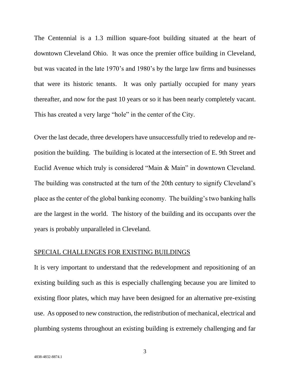The Centennial is a 1.3 million square-foot building situated at the heart of downtown Cleveland Ohio. It was once the premier office building in Cleveland, but was vacated in the late 1970's and 1980's by the large law firms and businesses that were its historic tenants. It was only partially occupied for many years thereafter, and now for the past 10 years or so it has been nearly completely vacant. This has created a very large "hole" in the center of the City.

Over the last decade, three developers have unsuccessfully tried to redevelop and reposition the building. The building is located at the intersection of E. 9th Street and Euclid Avenue which truly is considered "Main & Main" in downtown Cleveland. The building was constructed at the turn of the 20th century to signify Cleveland's place as the center of the global banking economy. The building's two banking halls are the largest in the world. The history of the building and its occupants over the years is probably unparalleled in Cleveland.

### SPECIAL CHALLENGES FOR EXISTING BUILDINGS

It is very important to understand that the redevelopment and repositioning of an existing building such as this is especially challenging because you are limited to existing floor plates, which may have been designed for an alternative pre-existing use. As opposed to new construction, the redistribution of mechanical, electrical and plumbing systems throughout an existing building is extremely challenging and far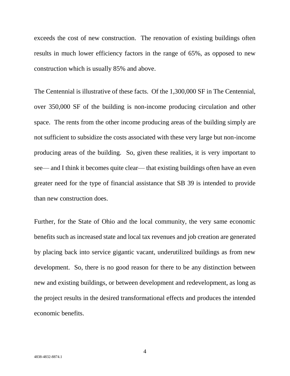exceeds the cost of new construction. The renovation of existing buildings often results in much lower efficiency factors in the range of 65%, as opposed to new construction which is usually 85% and above.

The Centennial is illustrative of these facts. Of the 1,300,000 SF in The Centennial, over 350,000 SF of the building is non-income producing circulation and other space. The rents from the other income producing areas of the building simply are not sufficient to subsidize the costs associated with these very large but non-income producing areas of the building. So, given these realities, it is very important to see— and I think it becomes quite clear— that existing buildings often have an even greater need for the type of financial assistance that SB 39 is intended to provide than new construction does.

Further, for the State of Ohio and the local community, the very same economic benefits such as increased state and local tax revenues and job creation are generated by placing back into service gigantic vacant, underutilized buildings as from new development. So, there is no good reason for there to be any distinction between new and existing buildings, or between development and redevelopment, as long as the project results in the desired transformational effects and produces the intended economic benefits.

4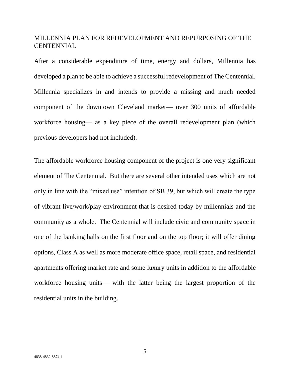## MILLENNIA PLAN FOR REDEVELOPMENT AND REPURPOSING OF THE **CENTENNIAL**

After a considerable expenditure of time, energy and dollars, Millennia has developed a plan to be able to achieve a successful redevelopment of The Centennial. Millennia specializes in and intends to provide a missing and much needed component of the downtown Cleveland market— over 300 units of affordable workforce housing— as a key piece of the overall redevelopment plan (which previous developers had not included).

The affordable workforce housing component of the project is one very significant element of The Centennial. But there are several other intended uses which are not only in line with the "mixed use" intention of SB 39, but which will create the type of vibrant live/work/play environment that is desired today by millennials and the community as a whole. The Centennial will include civic and community space in one of the banking halls on the first floor and on the top floor; it will offer dining options, Class A as well as more moderate office space, retail space, and residential apartments offering market rate and some luxury units in addition to the affordable workforce housing units— with the latter being the largest proportion of the residential units in the building.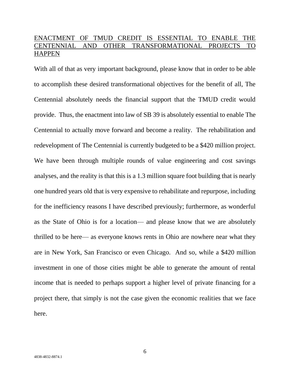## ENACTMENT OF TMUD CREDIT IS ESSENTIAL TO ENABLE THE CENTENNIAL AND OTHER TRANSFORMATIONAL PROJECTS TO **HAPPEN**

With all of that as very important background, please know that in order to be able to accomplish these desired transformational objectives for the benefit of all, The Centennial absolutely needs the financial support that the TMUD credit would provide. Thus, the enactment into law of SB 39 is absolutely essential to enable The Centennial to actually move forward and become a reality. The rehabilitation and redevelopment of The Centennial is currently budgeted to be a \$420 million project. We have been through multiple rounds of value engineering and cost savings analyses, and the reality is that this is a 1.3 million square foot building that is nearly one hundred years old that is very expensive to rehabilitate and repurpose, including for the inefficiency reasons I have described previously; furthermore, as wonderful as the State of Ohio is for a location— and please know that we are absolutely thrilled to be here— as everyone knows rents in Ohio are nowhere near what they are in New York, San Francisco or even Chicago. And so, while a \$420 million investment in one of those cities might be able to generate the amount of rental income that is needed to perhaps support a higher level of private financing for a project there, that simply is not the case given the economic realities that we face here.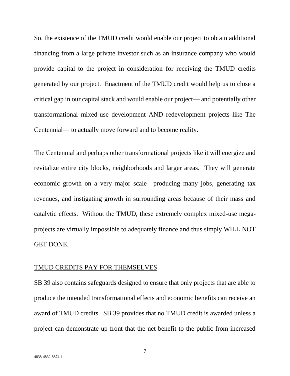So, the existence of the TMUD credit would enable our project to obtain additional financing from a large private investor such as an insurance company who would provide capital to the project in consideration for receiving the TMUD credits generated by our project. Enactment of the TMUD credit would help us to close a critical gap in our capital stack and would enable our project— and potentially other transformational mixed-use development AND redevelopment projects like The Centennial— to actually move forward and to become reality.

The Centennial and perhaps other transformational projects like it will energize and revitalize entire city blocks, neighborhoods and larger areas. They will generate economic growth on a very major scale—producing many jobs, generating tax revenues, and instigating growth in surrounding areas because of their mass and catalytic effects. Without the TMUD, these extremely complex mixed-use megaprojects are virtually impossible to adequately finance and thus simply WILL NOT GET DONE.

#### TMUD CREDITS PAY FOR THEMSELVES

SB 39 also contains safeguards designed to ensure that only projects that are able to produce the intended transformational effects and economic benefits can receive an award of TMUD credits. SB 39 provides that no TMUD credit is awarded unless a project can demonstrate up front that the net benefit to the public from increased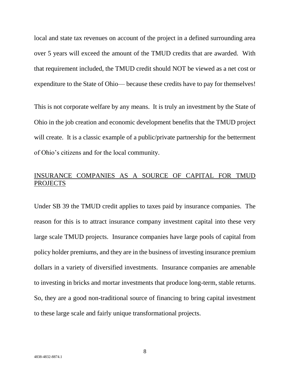local and state tax revenues on account of the project in a defined surrounding area over 5 years will exceed the amount of the TMUD credits that are awarded. With that requirement included, the TMUD credit should NOT be viewed as a net cost or expenditure to the State of Ohio— because these credits have to pay for themselves!

This is not corporate welfare by any means. It is truly an investment by the State of Ohio in the job creation and economic development benefits that the TMUD project will create. It is a classic example of a public/private partnership for the betterment of Ohio's citizens and for the local community.

# INSURANCE COMPANIES AS A SOURCE OF CAPITAL FOR TMUD PROJECTS

Under SB 39 the TMUD credit applies to taxes paid by insurance companies. The reason for this is to attract insurance company investment capital into these very large scale TMUD projects. Insurance companies have large pools of capital from policy holder premiums, and they are in the business of investing insurance premium dollars in a variety of diversified investments. Insurance companies are amenable to investing in bricks and mortar investments that produce long-term, stable returns. So, they are a good non-traditional source of financing to bring capital investment to these large scale and fairly unique transformational projects.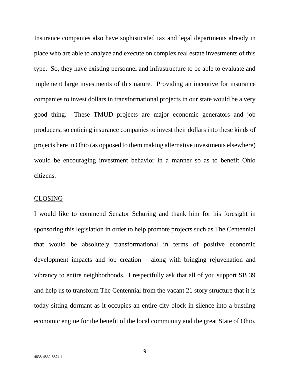Insurance companies also have sophisticated tax and legal departments already in place who are able to analyze and execute on complex real estate investments of this type. So, they have existing personnel and infrastructure to be able to evaluate and implement large investments of this nature. Providing an incentive for insurance companies to invest dollars in transformational projects in our state would be a very good thing. These TMUD projects are major economic generators and job producers, so enticing insurance companies to invest their dollars into these kinds of projects here in Ohio (as opposed to them making alternative investments elsewhere) would be encouraging investment behavior in a manner so as to benefit Ohio citizens.

#### CLOSING

I would like to commend Senator Schuring and thank him for his foresight in sponsoring this legislation in order to help promote projects such as The Centennial that would be absolutely transformational in terms of positive economic development impacts and job creation— along with bringing rejuvenation and vibrancy to entire neighborhoods. I respectfully ask that all of you support SB 39 and help us to transform The Centennial from the vacant 21 story structure that it is today sitting dormant as it occupies an entire city block in silence into a bustling economic engine for the benefit of the local community and the great State of Ohio.

9